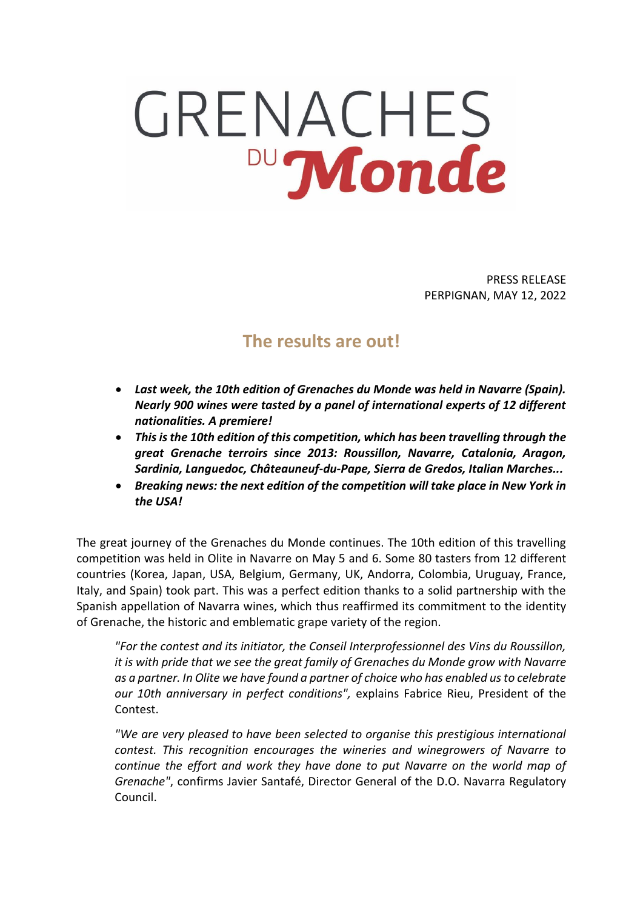## GRENACHES Monde

PRESS RELEASE PERPIGNAN, MAY 12, 2022

## **The results are out!**

- *Last week, the 10th edition of Grenaches du Monde was held in Navarre (Spain). Nearly 900 wines were tasted by a panel of international experts of 12 different nationalities. A premiere!*
- *This is the 10th edition of this competition, which has been travelling through the great Grenache terroirs since 2013: Roussillon, Navarre, Catalonia, Aragon, Sardinia, Languedoc, Châteauneuf-du-Pape, Sierra de Gredos, Italian Marches...*
- *Breaking news: the next edition of the competition will take place in New York in the USA!*

The great journey of the Grenaches du Monde continues. The 10th edition of this travelling competition was held in Olite in Navarre on May 5 and 6. Some 80 tasters from 12 different countries (Korea, Japan, USA, Belgium, Germany, UK, Andorra, Colombia, Uruguay, France, Italy, and Spain) took part. This was a perfect edition thanks to a solid partnership with the Spanish appellation of Navarra wines, which thus reaffirmed its commitment to the identity of Grenache, the historic and emblematic grape variety of the region.

*"For the contest and its initiator, the Conseil Interprofessionnel des Vins du Roussillon, it is with pride that we see the great family of Grenaches du Monde grow with Navarre as a partner. In Olite we have found a partner of choice who has enabled us to celebrate our 10th anniversary in perfect conditions",* explains Fabrice Rieu, President of the Contest.

*"We are very pleased to have been selected to organise this prestigious international contest. This recognition encourages the wineries and winegrowers of Navarre to continue the effort and work they have done to put Navarre on the world map of Grenache"*, confirms Javier Santafé, Director General of the D.O. Navarra Regulatory Council.